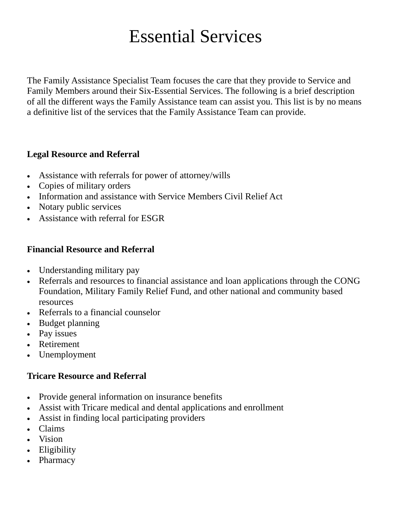# Essential Services

The Family Assistance Specialist Team focuses the care that they provide to Service and Family Members around their Six-Essential Services. The following is a brief description of all the different ways the Family Assistance team can assist you. This list is by no means a definitive list of the services that the Family Assistance Team can provide.

#### **Legal Resource and Referral**

- Assistance with referrals for power of attorney/wills
- Copies of military orders
- Information and assistance with Service Members Civil Relief Act
- Notary public services
- Assistance with referral for ESGR

#### **Financial Resource and Referral**

- Understanding military pay
- Referrals and resources to financial assistance and loan applications through the CONG Foundation, Military Family Relief Fund, and other national and community based resources
- Referrals to a financial counselor
- Budget planning
- Pay issues
- Retirement
- Unemployment

#### **Tricare Resource and Referral**

- Provide general information on insurance benefits
- Assist with Tricare medical and dental applications and enrollment
- Assist in finding local participating providers
- Claims
- Vision
- Eligibility
- Pharmacy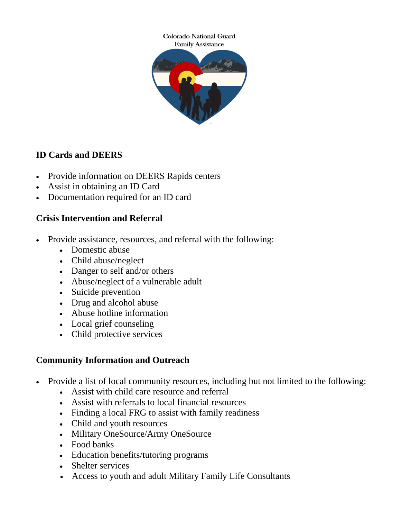

# **ID Cards and DEERS**

- Provide information on DEERS Rapids centers
- Assist in obtaining an ID Card
- Documentation required for an ID card

# **Crisis Intervention and Referral**

- Provide assistance, resources, and referral with the following:
	- Domestic abuse
	- Child abuse/neglect
	- Danger to self and/or others
	- Abuse/neglect of a vulnerable adult
	- Suicide prevention
	- Drug and alcohol abuse
	- Abuse hotline information
	- Local grief counseling
	- Child protective services

# **Community Information and Outreach**

- Provide a list of local community resources, including but not limited to the following:
	- Assist with child care resource and referral
	- Assist with referrals to local financial resources
	- Finding a local FRG to assist with family readiness
	- Child and youth resources
	- Military OneSource/Army OneSource
	- Food banks
	- Education benefits/tutoring programs
	- Shelter services
	- Access to youth and adult Military Family Life Consultants